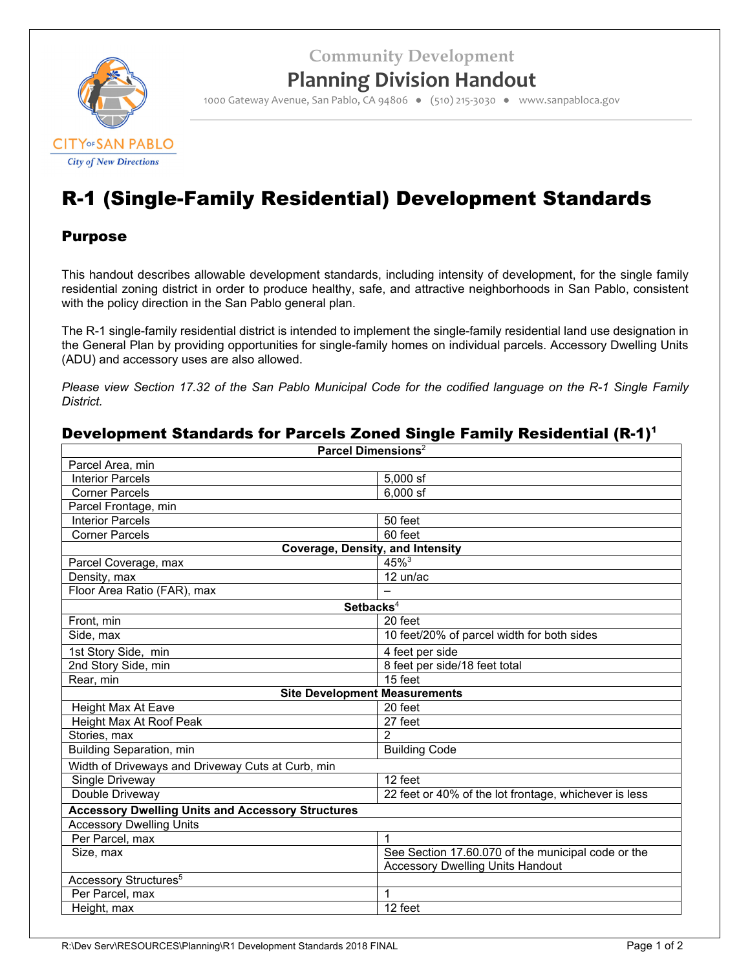**Community Development**



## **Planning Division Handout**

1000 Gateway Avenue, San Pablo, CA 94806 ● (510) 215‐3030 ● www.sanpabloca.gov

# R-1 (Single-Family Residential) Development Standards

## Purpose

This handout describes allowable development standards, including intensity of development, for the single family residential zoning district in order to produce healthy, safe, and attractive neighborhoods in San Pablo, consistent with the policy direction in the San Pablo general plan.

The R-1 single-family residential district is intended to implement the single-family residential land use designation in the General Plan by providing opportunities for single-family homes on individual parcels. Accessory Dwelling Units (ADU) and accessory uses are also allowed.

*Please view Section 17.32 of the San Pablo Municipal Code for the codified language on the R-1 Single Family District.*

## Development Standards for Parcels Zoned Single Family Residential (R-1)<sup>1</sup>

| Parcel Dimensions <sup>2</sup>                           |                                                       |  |  |  |
|----------------------------------------------------------|-------------------------------------------------------|--|--|--|
| Parcel Area, min                                         |                                                       |  |  |  |
| <b>Interior Parcels</b>                                  | $5,000$ sf                                            |  |  |  |
| <b>Corner Parcels</b>                                    | $6,000$ sf                                            |  |  |  |
| Parcel Frontage, min                                     |                                                       |  |  |  |
| <b>Interior Parcels</b>                                  | 50 feet                                               |  |  |  |
| <b>Corner Parcels</b>                                    | 60 feet                                               |  |  |  |
| <b>Coverage, Density, and Intensity</b>                  |                                                       |  |  |  |
| Parcel Coverage, max                                     | $45\%$ <sup>3</sup>                                   |  |  |  |
| Density, max                                             | 12 un/ac                                              |  |  |  |
| Floor Area Ratio (FAR), max                              |                                                       |  |  |  |
| Setbacks <sup>4</sup>                                    |                                                       |  |  |  |
| Front, min                                               | 20 feet                                               |  |  |  |
| Side, max                                                | 10 feet/20% of parcel width for both sides            |  |  |  |
| 1st Story Side, min                                      | 4 feet per side                                       |  |  |  |
| 2nd Story Side, min                                      | 8 feet per side/18 feet total                         |  |  |  |
| Rear, min                                                | 15 feet                                               |  |  |  |
| <b>Site Development Measurements</b>                     |                                                       |  |  |  |
| Height Max At Eave                                       | 20 feet                                               |  |  |  |
| Height Max At Roof Peak                                  | 27 feet                                               |  |  |  |
| Stories, max<br>2                                        |                                                       |  |  |  |
| <b>Building Separation, min</b>                          | <b>Building Code</b>                                  |  |  |  |
| Width of Driveways and Driveway Cuts at Curb, min        |                                                       |  |  |  |
| Single Driveway                                          | 12 feet                                               |  |  |  |
| Double Driveway                                          | 22 feet or 40% of the lot frontage, whichever is less |  |  |  |
| <b>Accessory Dwelling Units and Accessory Structures</b> |                                                       |  |  |  |
| <b>Accessory Dwelling Units</b>                          |                                                       |  |  |  |
| Per Parcel, max                                          | 1                                                     |  |  |  |
| Size, max                                                | See Section 17.60.070 of the municipal code or the    |  |  |  |
|                                                          | <b>Accessory Dwelling Units Handout</b>               |  |  |  |
| Accessory Structures <sup>5</sup>                        |                                                       |  |  |  |
| Per Parcel, max                                          | 1                                                     |  |  |  |
| Height, max                                              | 12 feet                                               |  |  |  |